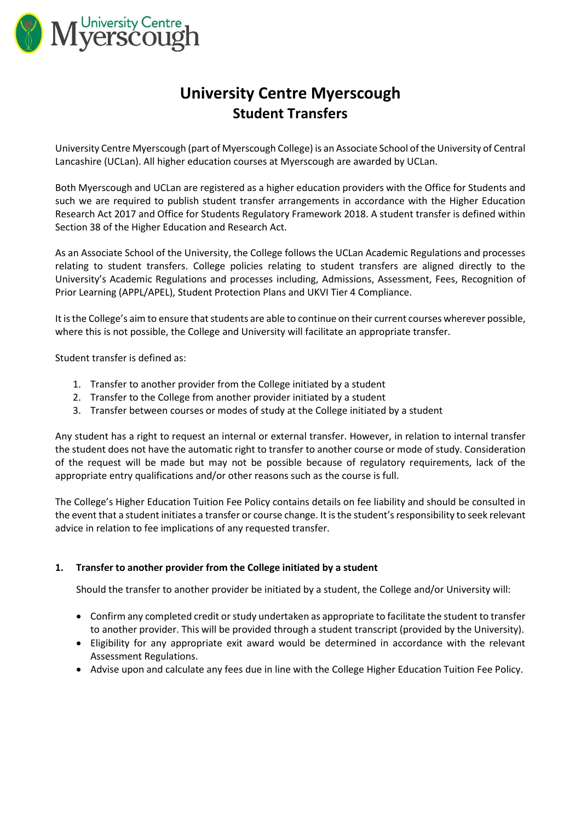

# **University Centre Myerscough Student Transfers**

University Centre Myerscough (part of Myerscough College) is an Associate School of the University of Central Lancashire (UCLan). All higher education courses at Myerscough are awarded by UCLan.

Both Myerscough and UCLan are registered as a higher education providers with the Office for Students and such we are required to publish student transfer arrangements in accordance with the Higher Education Research Act 2017 and Office for Students Regulatory Framework 2018. A student transfer is defined within Section 38 of the Higher Education and Research Act.

As an Associate School of the University, the College follows the UCLan Academic Regulations and processes relating to student transfers. College policies relating to student transfers are aligned directly to the University's Academic Regulations and processes including, Admissions, Assessment, Fees, Recognition of Prior Learning (APPL/APEL), Student Protection Plans and UKVI Tier 4 Compliance.

It is the College's aim to ensure that students are able to continue on their current courses wherever possible, where this is not possible, the College and University will facilitate an appropriate transfer.

Student transfer is defined as:

- 1. Transfer to another provider from the College initiated by a student
- 2. Transfer to the College from another provider initiated by a student
- 3. Transfer between courses or modes of study at the College initiated by a student

Any student has a right to request an internal or external transfer. However, in relation to internal transfer the student does not have the automatic right to transfer to another course or mode of study. Consideration of the request will be made but may not be possible because of regulatory requirements, lack of the appropriate entry qualifications and/or other reasons such as the course is full.

The College's Higher Education Tuition Fee Policy contains details on fee liability and should be consulted in the event that a student initiates a transfer or course change. It is the student's responsibility to seek relevant advice in relation to fee implications of any requested transfer.

## **1. Transfer to another provider from the College initiated by a student**

Should the transfer to another provider be initiated by a student, the College and/or University will:

- Confirm any completed credit or study undertaken as appropriate to facilitate the student to transfer to another provider. This will be provided through a student transcript (provided by the University).
- Eligibility for any appropriate exit award would be determined in accordance with the relevant Assessment Regulations.
- Advise upon and calculate any fees due in line with the College Higher Education Tuition Fee Policy.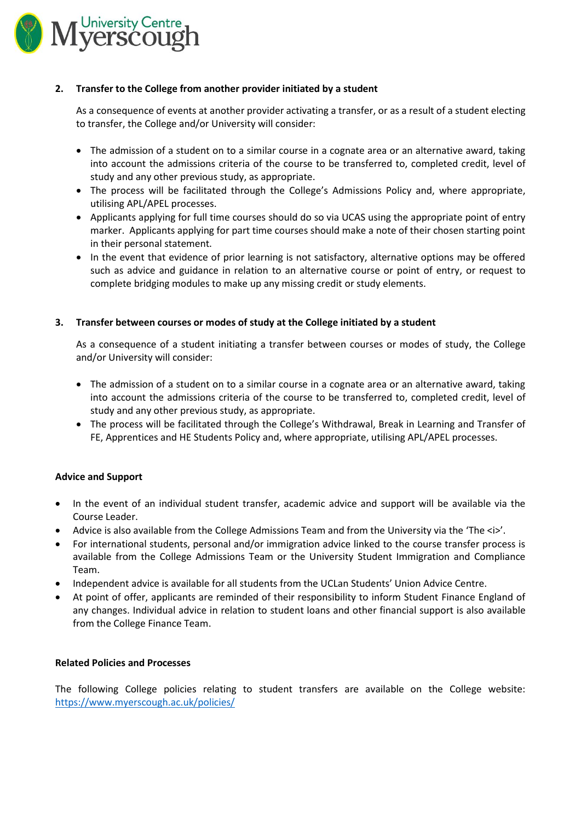

## **2. Transfer to the College from another provider initiated by a student**

As a consequence of events at another provider activating a transfer, or as a result of a student electing to transfer, the College and/or University will consider:

- The admission of a student on to a similar course in a cognate area or an alternative award, taking into account the admissions criteria of the course to be transferred to, completed credit, level of study and any other previous study, as appropriate.
- The process will be facilitated through the College's Admissions Policy and, where appropriate, utilising APL/APEL processes.
- Applicants applying for full time courses should do so via UCAS using the appropriate point of entry marker. Applicants applying for part time courses should make a note of their chosen starting point in their personal statement.
- In the event that evidence of prior learning is not satisfactory, alternative options may be offered such as advice and guidance in relation to an alternative course or point of entry, or request to complete bridging modules to make up any missing credit or study elements.

## **3. Transfer between courses or modes of study at the College initiated by a student**

As a consequence of a student initiating a transfer between courses or modes of study, the College and/or University will consider:

- The admission of a student on to a similar course in a cognate area or an alternative award, taking into account the admissions criteria of the course to be transferred to, completed credit, level of study and any other previous study, as appropriate.
- The process will be facilitated through the College's Withdrawal, Break in Learning and Transfer of FE, Apprentices and HE Students Policy and, where appropriate, utilising APL/APEL processes.

## **Advice and Support**

- In the event of an individual student transfer, academic advice and support will be available via the Course Leader.
- $\bullet$  Advice is also available from the College Admissions Team and from the University via the 'The  $\langle i \rangle'$ .
- For international students, personal and/or immigration advice linked to the course transfer process is available from the College Admissions Team or the University Student Immigration and Compliance Team.
- Independent advice is available for all students from the UCLan Students' Union Advice Centre.
- At point of offer, applicants are reminded of their responsibility to inform Student Finance England of any changes. Individual advice in relation to student loans and other financial support is also available from the College Finance Team.

## **Related Policies and Processes**

The following College policies relating to student transfers are available on the College website: <https://www.myerscough.ac.uk/policies/>